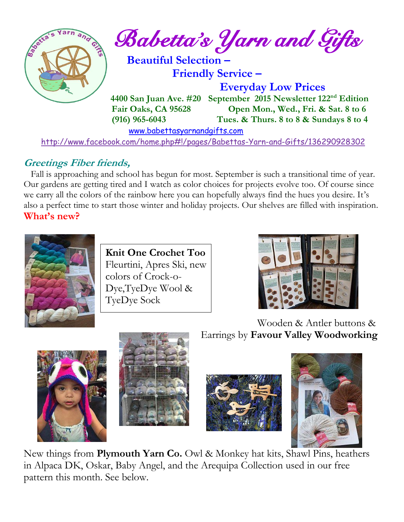

## **Greetings Fiber friends,**

 Fall is approaching and school has begun for most. September is such a transitional time of year. Our gardens are getting tired and I watch as color choices for projects evolve too. Of course since we carry all the colors of the rainbow here you can hopefully always find the hues you desire. It's also a perfect time to start those winter and holiday projects. Our shelves are filled with inspiration. **What's new?**



**Knit One Crochet Too** Fleurtini, Apres Ski, new colors of Crock-o-Dye,TyeDye Wool & TyeDye Sock



Wooden & Antler buttons & Earrings by **Favour Valley Woodworking**









New things from **Plymouth Yarn Co.** Owl & Monkey hat kits, Shawl Pins, heathers in Alpaca DK, Oskar, Baby Angel, and the Arequipa Collection used in our free pattern this month. See below.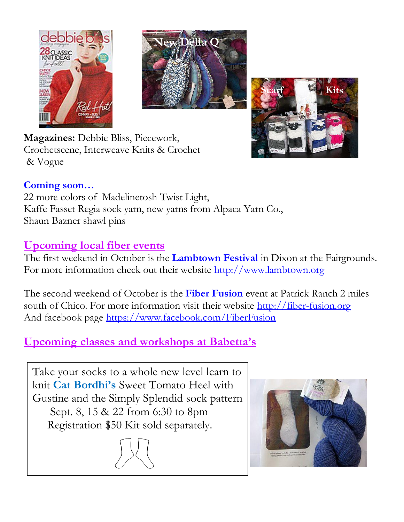





**Magazines:** Debbie Bliss, Piecework, Crochetscene, Interweave Knits & Crochet**,**  & Vogue

### **Coming soon…**

22 more colors of Madelinetosh Twist Light, Kaffe Fasset Regia sock yarn, new yarns from Alpaca Yarn Co., Shaun Bazner shawl pins

### **Upcoming local fiber events**

The first weekend in October is the **Lambtown Festival** in Dixon at the Fairgrounds. For more information check out their website [http://www.lambtown.org](http://www.lambtown.org/)

The second weekend of October is the **Fiber Fusion** event at Patrick Ranch 2 miles south of Chico. For more information visit their website [http://fiber-fusion.org](http://fiber-fusion.org/) And facebook page<https://www.facebook.com/FiberFusion>

## **Upcoming classes and workshops at Babetta's**

Take your socks to a whole new level learn to knit **Cat Bordhi's** Sweet Tomato Heel with Gustine and the Simply Splendid sock pattern Sept. 8, 15 & 22 from 6:30 to 8pm Registration \$50 Kit sold separately.

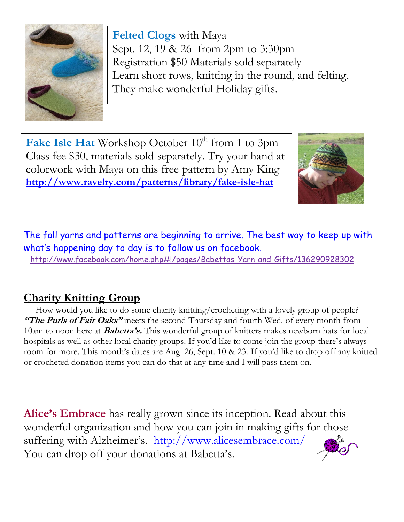

**Felted Clogs** with Maya Sept. 12, 19 & 26 from 2pm to 3:30pm Registration \$50 Materials sold separately Learn short rows, knitting in the round, and felting. They make wonderful Holiday gifts.

Fake Isle Hat Workshop October 10<sup>th</sup> from 1 to 3pm Class fee \$30, materials sold separately. Try your hand at colorwork with Maya on this free pattern by Amy King **<http://www.ravelry.com/patterns/library/fake-isle-hat>**



The fall yarns and patterns are beginning to arrive. The best way to keep up with what's happening day to day is to follow us on facebook.

<http://www.facebook.com/home.php#!/pages/Babettas-Yarn-and-Gifts/136290928302>

## **Charity Knitting Group**

 How would you like to do some charity knitting/crocheting with a lovely group of people? **"The Purls of Fair Oaks"** meets the second Thursday and fourth Wed. of every month from 10am to noon here at **Babetta's.** This wonderful group of knitters makes newborn hats for local hospitals as well as other local charity groups. If you'd like to come join the group there's always room for more. This month's dates are Aug. 26, Sept. 10 & 23. If you'd like to drop off any knitted or crocheted donation items you can do that at any time and I will pass them on.

**Alice's Embrace** has really grown since its inception. Read about this wonderful organization and how you can join in making gifts for those suffering with Alzheimer's. http://www.alicesembrace.com/ You can drop off your donations at Babetta's.